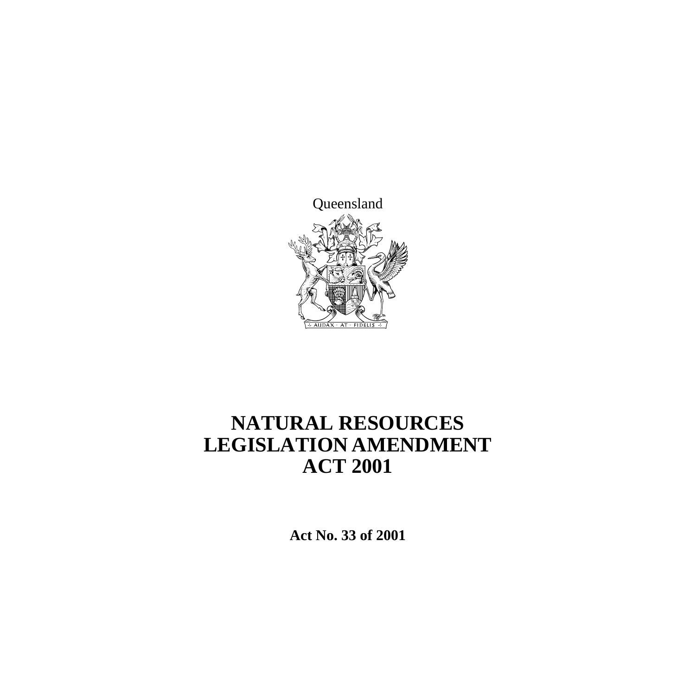

# **NATURAL RESOURCES LEGISLATION AMENDMENT ACT 2001**

**Act No. 33 of 2001**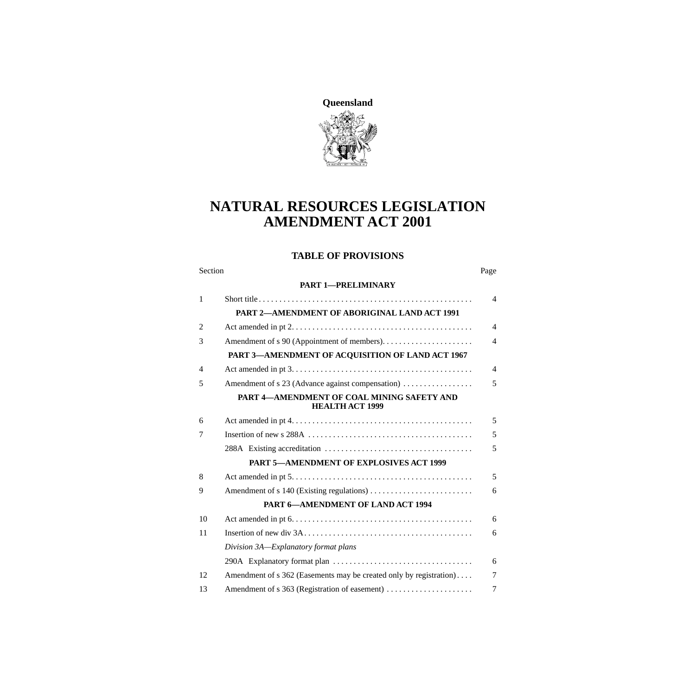

# **NATURAL RESOURCES LEGISLATION AMENDMENT ACT 2001**

### **TABLE OF PROVISIONS**

#### Section Page

#### **[PART 1—PRELIMINARY](#page-5-0)**

| $\mathbf{1}$   |                                                                      | $\overline{4}$ |
|----------------|----------------------------------------------------------------------|----------------|
|                | PART 2-AMENDMENT OF ABORIGINAL LAND ACT 1991                         |                |
| $\overline{2}$ |                                                                      | $\overline{4}$ |
| 3              |                                                                      | $\overline{4}$ |
|                | PART 3-AMENDMENT OF ACQUISITION OF LAND ACT 1967                     |                |
| $\overline{4}$ |                                                                      | $\overline{4}$ |
| 5              | Amendment of s 23 (Advance against compensation)                     | 5              |
|                | PART 4-AMENDMENT OF COAL MINING SAFETY AND<br><b>HEALTH ACT 1999</b> |                |
| 6              |                                                                      | 5              |
| 7              |                                                                      | 5              |
|                |                                                                      | 5              |
|                | <b>PART 5-AMENDMENT OF EXPLOSIVES ACT 1999</b>                       |                |
| 8              |                                                                      | 5              |
| 9              |                                                                      | 6              |
|                | <b>PART 6-AMENDMENT OF LAND ACT 1994</b>                             |                |
| 10             |                                                                      | 6              |
| 11             |                                                                      | 6              |
|                | Division 3A-Explanatory format plans                                 |                |
|                |                                                                      | 6              |
| 12             | Amendment of s 362 (Easements may be created only by registration)   | 7              |
| 13             | Amendment of s 363 (Registration of easement)                        | 7              |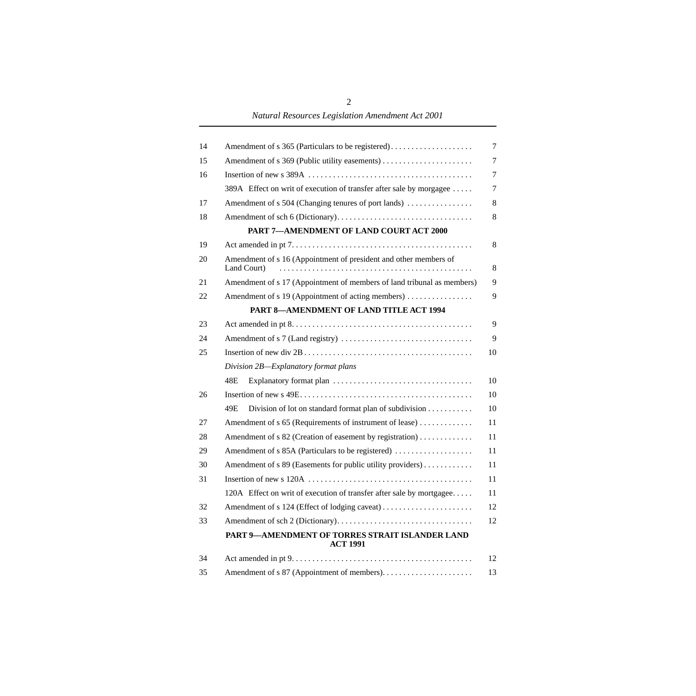*Natural Resources Legislation Amendment Act 2001*

| 14 | Amendment of s 365 (Particulars to be registered)                               | $\overline{7}$ |
|----|---------------------------------------------------------------------------------|----------------|
| 15 |                                                                                 | 7              |
| 16 |                                                                                 | 7              |
|    | 389A Effect on writ of execution of transfer after sale by morgagee             | 7              |
| 17 | Amendment of s 504 (Changing tenures of port lands)                             | $\,8$          |
| 18 |                                                                                 | $\,8$          |
|    | PART 7-AMENDMENT OF LAND COURT ACT 2000                                         |                |
| 19 |                                                                                 | 8              |
| 20 | Amendment of s 16 (Appointment of president and other members of<br>Land Court) | 8              |
| 21 | Amendment of s 17 (Appointment of members of land tribunal as members)          | 9              |
| 22 | Amendment of s 19 (Appointment of acting members)                               | 9              |
|    | PART 8-AMENDMENT OF LAND TITLE ACT 1994                                         |                |
| 23 |                                                                                 | 9              |
| 24 |                                                                                 | 9              |
| 25 |                                                                                 | 10             |
|    | Division 2B-Explanatory format plans                                            |                |
|    | 48E                                                                             | 10             |
| 26 |                                                                                 | 10             |
|    | 49E<br>Division of lot on standard format plan of subdivision                   | 10             |
| 27 | Amendment of s 65 (Requirements of instrument of lease)                         | 11             |
| 28 | Amendment of s 82 (Creation of easement by registration)                        | 11             |
| 29 | Amendment of s 85A (Particulars to be registered)                               | 11             |
| 30 | Amendment of s 89 (Easements for public utility providers)                      | 11             |
| 31 |                                                                                 | 11             |
|    | 120A Effect on writ of execution of transfer after sale by mortgagee            | 11             |
| 32 | Amendment of s 124 (Effect of lodging caveat)                                   | 12             |
| 33 |                                                                                 | 12             |
|    | PART 9-AMENDMENT OF TORRES STRAIT ISLANDER LAND<br><b>ACT 1991</b>              |                |
| 34 |                                                                                 | 12             |
| 35 |                                                                                 | 13             |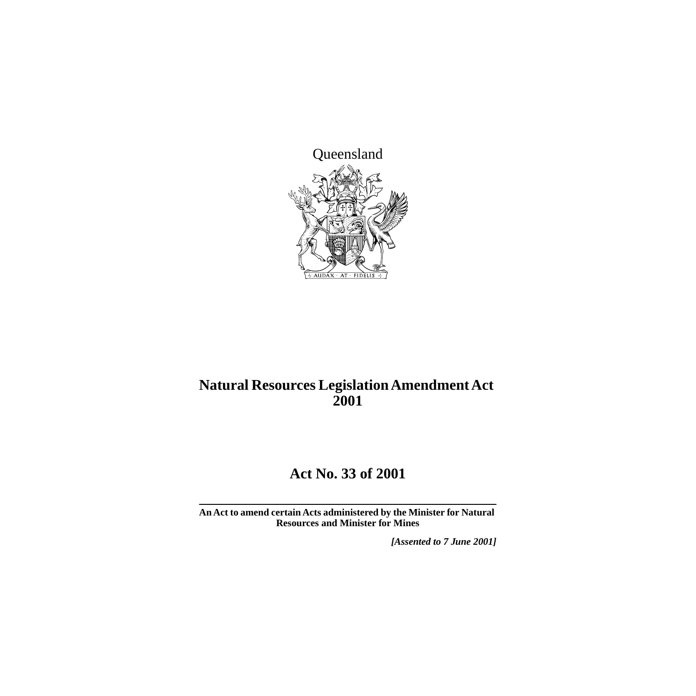

# **Natural Resources Legislation Amendment Act 2001**

# **Act No. 33 of 2001**

**An Act to amend certain Acts administered by the Minister for Natural Resources and Minister for Mines**

*[Assented to 7 June 2001]*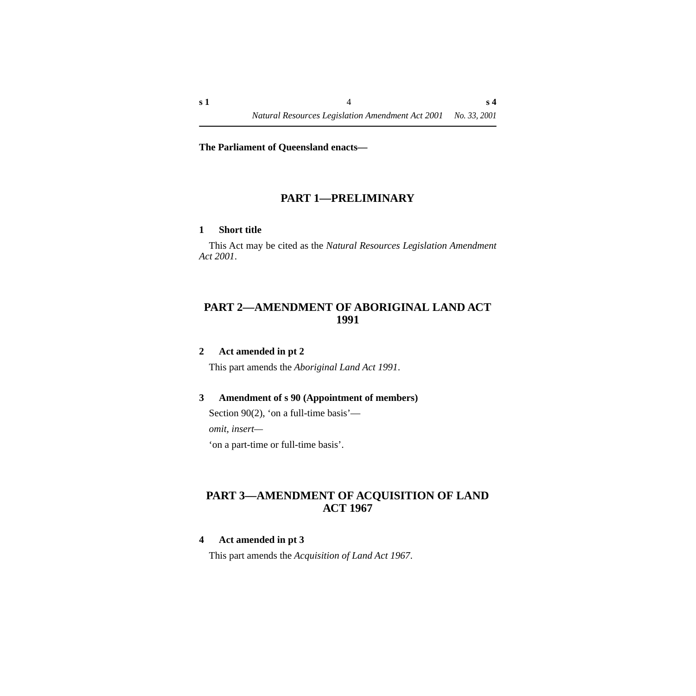#### **The Parliament of Queensland enacts—**

### **PART 1—PRELIMINARY**

#### <span id="page-5-1"></span><span id="page-5-0"></span>**1 Short title**

This Act may be cited as the *Natural Resources Legislation Amendment Act 2001*.

### <span id="page-5-2"></span>**PART 2—AMENDMENT OF ABORIGINAL LAND ACT 1991**

### <span id="page-5-3"></span>**2 Act amended in pt 2**

This part amends the *Aboriginal Land Act 1991*.

#### <span id="page-5-4"></span>**3 Amendment of s 90 (Appointment of members)**

Section 90(2), 'on a full-time basis'—

*omit, insert—*

'on a part-time or full-time basis'.

### <span id="page-5-5"></span>**PART 3—AMENDMENT OF ACQUISITION OF LAND ACT 1967**

#### <span id="page-5-6"></span>**4 Act amended in pt 3**

This part amends the *Acquisition of Land Act 1967*.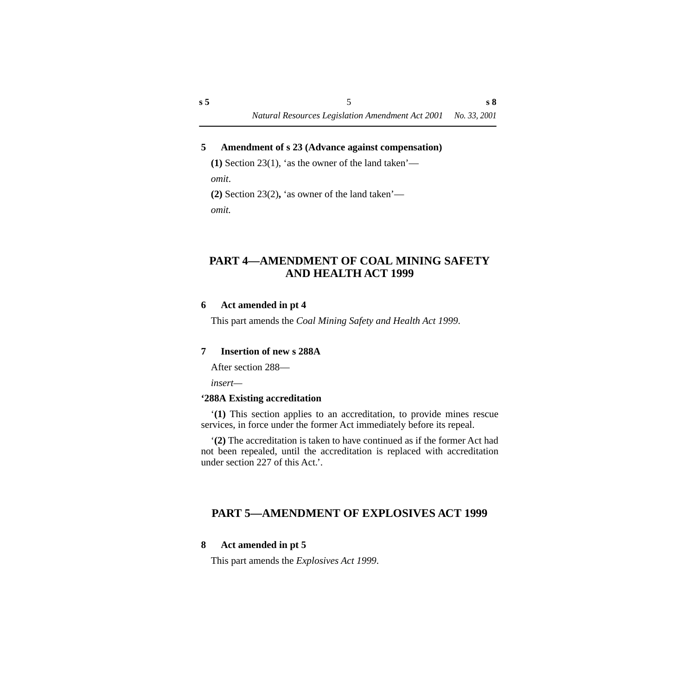#### <span id="page-6-0"></span>**5 Amendment of s 23 (Advance against compensation)**

**(1)** Section 23(1), 'as the owner of the land taken' *omit*.

**(2)** Section 23(2)**,** 'as owner of the land taken' *omit.*

### <span id="page-6-1"></span>**PART 4—AMENDMENT OF COAL MINING SAFETY AND HEALTH ACT 1999**

#### <span id="page-6-2"></span>**6 Act amended in pt 4**

This part amends the *Coal Mining Safety and Health Act 1999*.

#### <span id="page-6-3"></span>**7 Insertion of new s 288A**

After section 288—

*insert—*

### <span id="page-6-4"></span>**'288A Existing accreditation**

'**(1)** This section applies to an accreditation, to provide mines rescue services, in force under the former Act immediately before its repeal.

'**(2)** The accreditation is taken to have continued as if the former Act had not been repealed, until the accreditation is replaced with accreditation under section 227 of this Act.'.

### <span id="page-6-5"></span>**PART 5—AMENDMENT OF EXPLOSIVES ACT 1999**

#### <span id="page-6-6"></span>**8 Act amended in pt 5**

This part amends the *Explosives Act 1999*.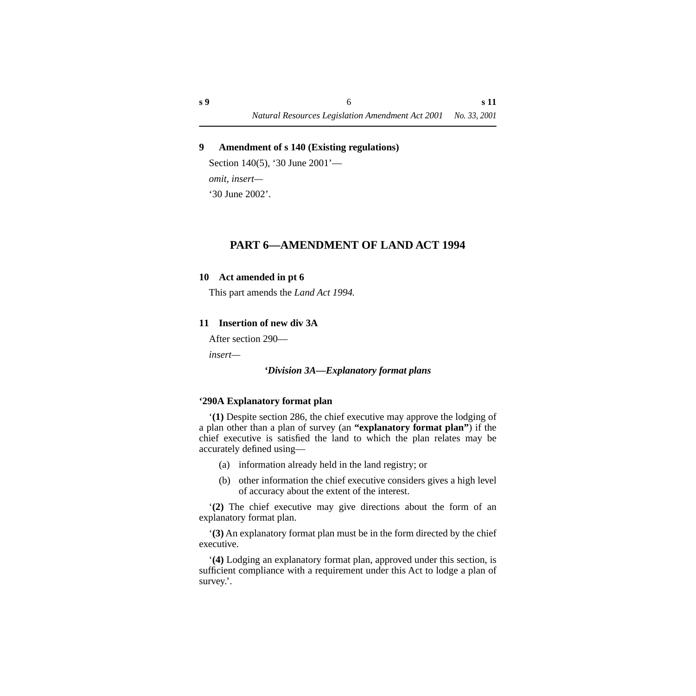### <span id="page-7-0"></span>**9 Amendment of s 140 (Existing regulations)**

Section 140(5), '30 June 2001' *omit, insert—* '30 June 2002'.

### **PART 6—AMENDMENT OF LAND ACT 1994**

#### <span id="page-7-2"></span><span id="page-7-1"></span>**10 Act amended in pt 6**

This part amends the *Land Act 1994.*

### <span id="page-7-3"></span>**11 Insertion of new div 3A**

After section 290—

<span id="page-7-4"></span>*insert—*

#### *'Division 3A—Explanatory format plans*

#### <span id="page-7-5"></span>**'290A Explanatory format plan**

'**(1)** Despite section 286, the chief executive may approve the lodging of a plan other than a plan of survey (an **"explanatory format plan"**) if the chief executive is satisfied the land to which the plan relates may be accurately defined using—

- (a) information already held in the land registry; or
- (b) other information the chief executive considers gives a high level of accuracy about the extent of the interest.

'**(2)** The chief executive may give directions about the form of an explanatory format plan.

'**(3)** An explanatory format plan must be in the form directed by the chief executive.

'**(4)** Lodging an explanatory format plan, approved under this section, is sufficient compliance with a requirement under this Act to lodge a plan of survey.'.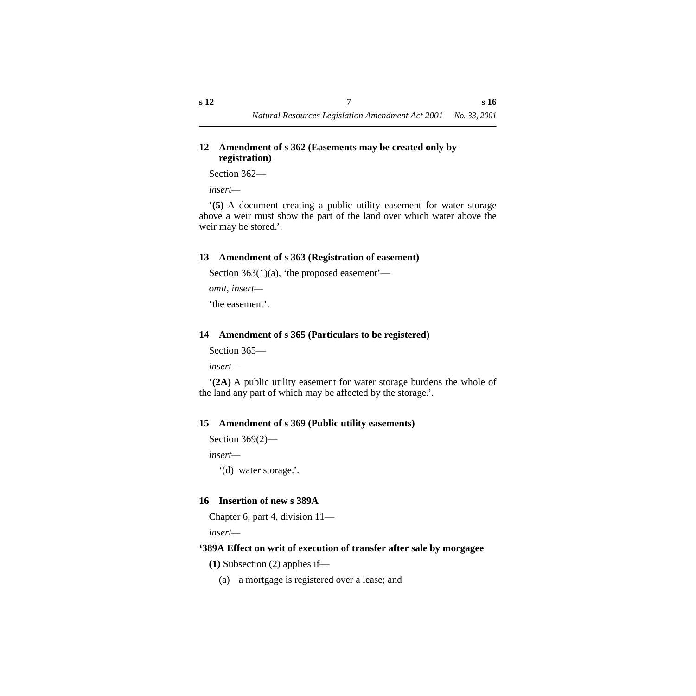### <span id="page-8-0"></span>**12 Amendment of s 362 (Easements may be created only by registration)**

Section 362—

*insert—*

'**(5)** A document creating a public utility easement for water storage above a weir must show the part of the land over which water above the weir may be stored.'.

### <span id="page-8-1"></span>**13 Amendment of s 363 (Registration of easement)**

Section  $363(1)(a)$ , 'the proposed easement'—

*omit, insert—*

'the easement'.

### <span id="page-8-2"></span>**14 Amendment of s 365 (Particulars to be registered)**

Section 365—

*insert—*

'**(2A)** A public utility easement for water storage burdens the whole of the land any part of which may be affected by the storage.'.

### <span id="page-8-3"></span>**15 Amendment of s 369 (Public utility easements)**

```
Section 369(2)—
```
*insert—*

'(d) water storage.'.

### <span id="page-8-4"></span>**16 Insertion of new s 389A**

Chapter 6, part 4, division 11—

*insert—*

### <span id="page-8-5"></span>**'389A Effect on writ of execution of transfer after sale by morgagee**

**(1)** Subsection (2) applies if—

(a) a mortgage is registered over a lease; and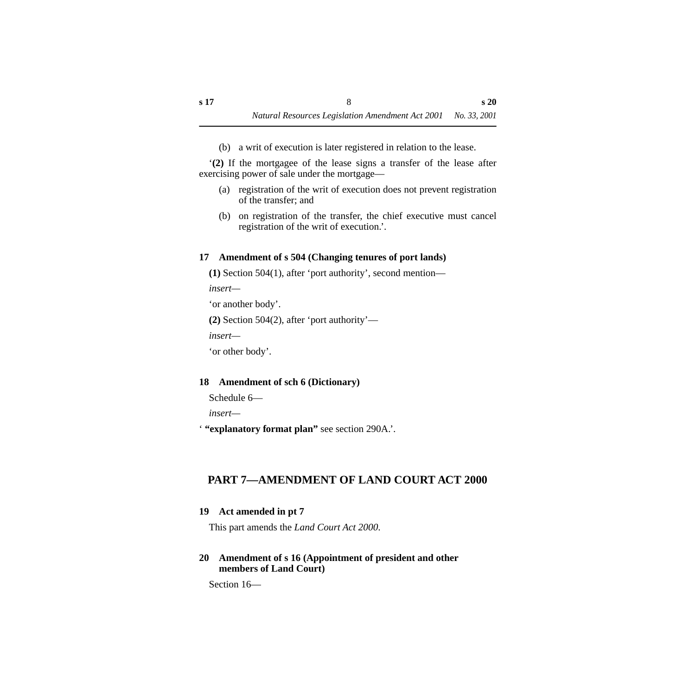(b) a writ of execution is later registered in relation to the lease.

'**(2)** If the mortgagee of the lease signs a transfer of the lease after exercising power of sale under the mortgage—

- (a) registration of the writ of execution does not prevent registration of the transfer; and
- (b) on registration of the transfer, the chief executive must cancel registration of the writ of execution.'.

### <span id="page-9-0"></span>**17 Amendment of s 504 (Changing tenures of port lands)**

**(1)** Section 504(1), after 'port authority', second mention—

*insert—*

'or another body'.

**(2)** Section 504(2), after 'port authority'—

*insert—*

'or other body'.

### <span id="page-9-1"></span>**18 Amendment of sch 6 (Dictionary)**

```
Schedule 6—
```
*insert—*

' **"explanatory format plan"** see section 290A.'.

## <span id="page-9-2"></span>**PART 7—AMENDMENT OF LAND COURT ACT 2000**

### <span id="page-9-3"></span>**19 Act amended in pt 7**

This part amends the *Land Court Act 2000*.

### <span id="page-9-4"></span>**20 Amendment of s 16 (Appointment of president and other members of Land Court)**

Section 16—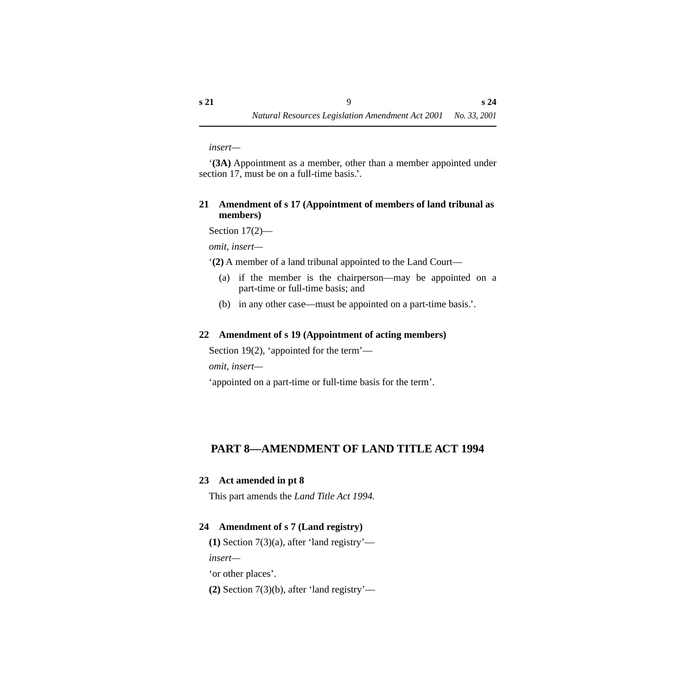*insert—*

'**(3A)** Appointment as a member, other than a member appointed under section 17, must be on a full-time basis.'.

#### <span id="page-10-0"></span>**21 Amendment of s 17 (Appointment of members of land tribunal as members)**

Section 17(2)—

*omit, insert—*

'**(2)** A member of a land tribunal appointed to the Land Court—

- (a) if the member is the chairperson—may be appointed on a part-time or full-time basis; and
- (b) in any other case—must be appointed on a part-time basis.'.

### <span id="page-10-1"></span>**22 Amendment of s 19 (Appointment of acting members)**

Section 19(2), 'appointed for the term'—

*omit, insert—*

'appointed on a part-time or full-time basis for the term'.

### <span id="page-10-2"></span>**PART 8—AMENDMENT OF LAND TITLE ACT 1994**

### <span id="page-10-3"></span>**23 Act amended in pt 8**

This part amends the *Land Title Act 1994.*

### <span id="page-10-4"></span>**24 Amendment of s 7 (Land registry)**

**(1)** Section 7(3)(a), after 'land registry'—

*insert—*

'or other places'.

**(2)** Section 7(3)(b), after 'land registry'—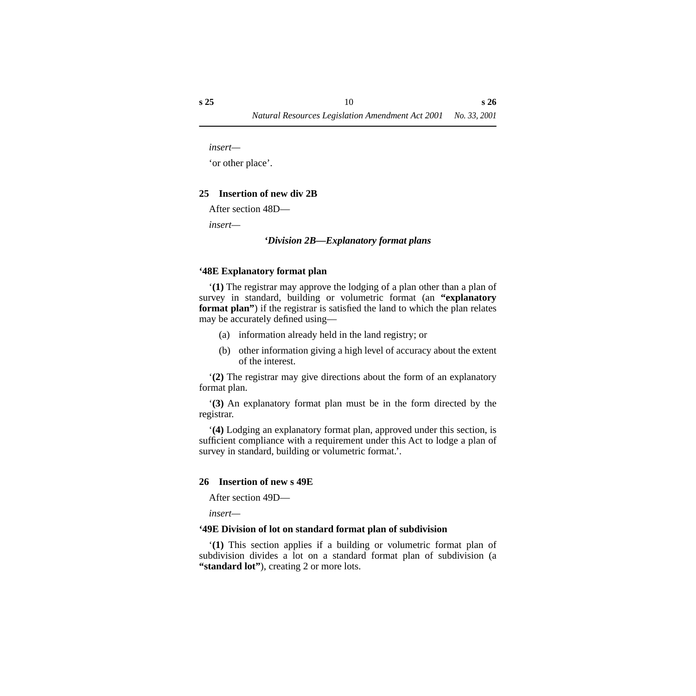*insert—*

'or other place'.

#### <span id="page-11-0"></span>**25 Insertion of new div 2B**

After section 48D—

<span id="page-11-1"></span>*insert—*

#### *'Division 2B—Explanatory format plans*

#### <span id="page-11-2"></span>**'48E Explanatory format plan**

'**(1)** The registrar may approve the lodging of a plan other than a plan of survey in standard, building or volumetric format (an **"explanatory format plan"**) if the registrar is satisfied the land to which the plan relates may be accurately defined using—

- (a) information already held in the land registry; or
- (b) other information giving a high level of accuracy about the extent of the interest.

'**(2)** The registrar may give directions about the form of an explanatory format plan.

'**(3)** An explanatory format plan must be in the form directed by the registrar.

'**(4)** Lodging an explanatory format plan, approved under this section, is sufficient compliance with a requirement under this Act to lodge a plan of survey in standard, building or volumetric format.'.

#### <span id="page-11-3"></span>**26 Insertion of new s 49E**

After section 49D—

*insert—*

#### <span id="page-11-4"></span>**'49E Division of lot on standard format plan of subdivision**

'**(1)** This section applies if a building or volumetric format plan of subdivision divides a lot on a standard format plan of subdivision (a **"standard lot"**), creating 2 or more lots.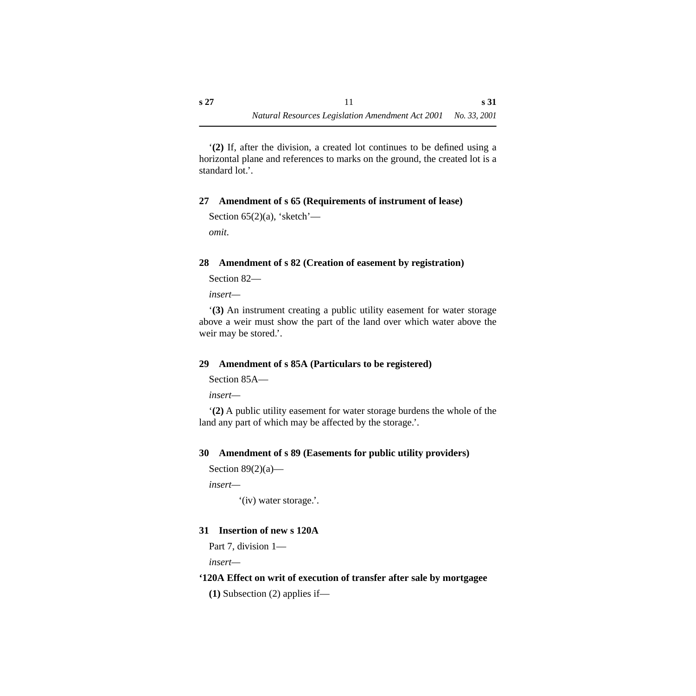'**(2)** If, after the division, a created lot continues to be defined using a horizontal plane and references to marks on the ground, the created lot is a standard lot.'.

### <span id="page-12-0"></span>**27 Amendment of s 65 (Requirements of instrument of lease)**

```
Section 65(2)(a), 'sketch'—
omit.
```
### <span id="page-12-1"></span>**28 Amendment of s 82 (Creation of easement by registration)**

```
Section 82—
```
*insert—*

'**(3)** An instrument creating a public utility easement for water storage above a weir must show the part of the land over which water above the weir may be stored.'.

### <span id="page-12-2"></span>**29 Amendment of s 85A (Particulars to be registered)**

Section 85A—

*insert—*

'**(2)** A public utility easement for water storage burdens the whole of the land any part of which may be affected by the storage.'.

### <span id="page-12-3"></span>**30 Amendment of s 89 (Easements for public utility providers)**

```
Section 89(2)(a)—
```
*insert—*

'(iv) water storage.'.

### <span id="page-12-4"></span>**31 Insertion of new s 120A**

Part 7, division 1—

*insert—*

### <span id="page-12-5"></span>**'120A Effect on writ of execution of transfer after sale by mortgagee**

**(1)** Subsection (2) applies if—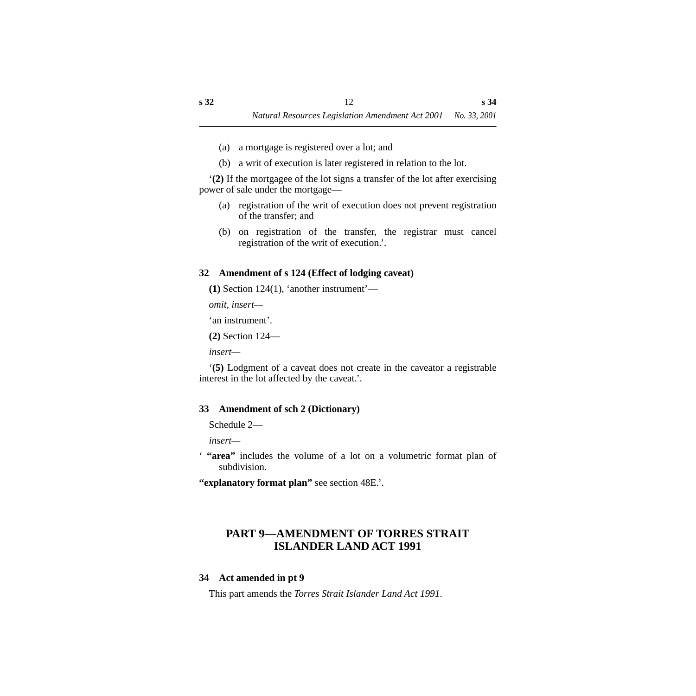- (a) a mortgage is registered over a lot; and
- (b) a writ of execution is later registered in relation to the lot.

'**(2)** If the mortgagee of the lot signs a transfer of the lot after exercising power of sale under the mortgage—

- (a) registration of the writ of execution does not prevent registration of the transfer; and
- (b) on registration of the transfer, the registrar must cancel registration of the writ of execution.'.

### <span id="page-13-0"></span>**32 Amendment of s 124 (Effect of lodging caveat)**

**(1)** Section 124(1), 'another instrument'—

*omit, insert—*

'an instrument'.

**(2)** Section 124—

*insert—*

'**(5)** Lodgment of a caveat does not create in the caveator a registrable interest in the lot affected by the caveat.'.

### <span id="page-13-1"></span>**33 Amendment of sch 2 (Dictionary)**

Schedule 2—

*insert—*

' **"area"** includes the volume of a lot on a volumetric format plan of subdivision.

**"explanatory format plan"** see section 48E.'.

### <span id="page-13-2"></span>**PART 9—AMENDMENT OF TORRES STRAIT ISLANDER LAND ACT 1991**

### <span id="page-13-3"></span>**34 Act amended in pt 9**

This part amends the *Torres Strait Islander Land Act 1991*.